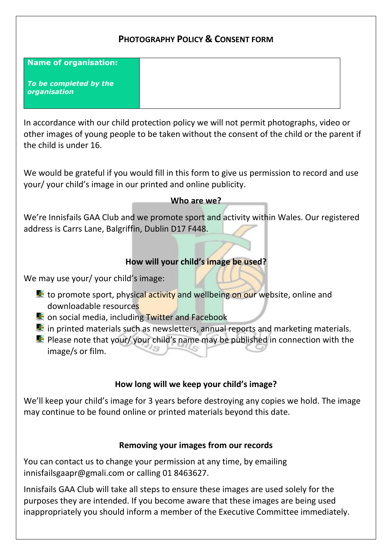# **PHOTOGRAPHY POLICY & CONSENT FORM**

| <b>Name of organisation:</b>           |  |
|----------------------------------------|--|
| To be completed by the<br>organisation |  |

In accordance with our child protection policy we will not permit photographs, video or other images of young people to be taken without the consent of the child or the parent if the child is under 16.

We would be grateful if you would fill in this form to give us permission to record and use your/ your child's image in our printed and online publicity.

#### **Who are we?**

We're Innisfails GAA Club and we promote sport and activity within Wales. Our registered address is Carrs Lane, Balgriffin, Dublin D17 F448.

### **How will your child's image be used?**

We may use your/ your child's image:

- to promote sport, physical activity and wellbeing on our website, online and downloadable resources
- on social media, including Twitter and Facebook
- $\blacksquare$  in printed materials such as newsletters, annual reports and marketing materials.
- **Please note that your/ your child's name may be published in connection with the** image/s or film.

# **How long will we keep your child's image?**

We'll keep your child's image for 3 years before destroying any copies we hold. The image may continue to be found online or printed materials beyond this date.

#### **Removing your images from our records**

You can contact us to change your permission at any time, by emailing innisfailsgaapr@gmali.com or calling 01 8463627.

Innisfails GAA Club will take all steps to ensure these images are used solely for the purposes they are intended. If you become aware that these images are being used inappropriately you should inform a member of the Executive Committee immediately.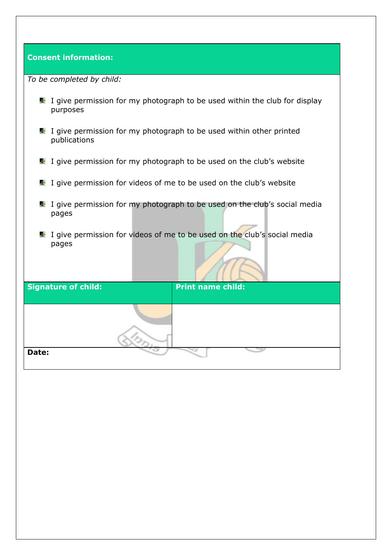#### **Consent information:**

| To be completed by child: |  |  |  |  |
|---------------------------|--|--|--|--|
|---------------------------|--|--|--|--|

- I give permission for my photograph to be used within the club for display purposes
- I give permission for my photograph to be used within other printed publications
- I give permission for my photograph to be used on the club's website
- I give permission for videos of me to be used on the club's website
- I give permission for my photograph to be used on the club's social media pages
- I give permission for videos of me to be used on the club's social media pages

| <b>Signature of child:</b> | <b>Print name child:</b> |  |
|----------------------------|--------------------------|--|
|                            |                          |  |
|                            |                          |  |
|                            |                          |  |
| Date:                      |                          |  |